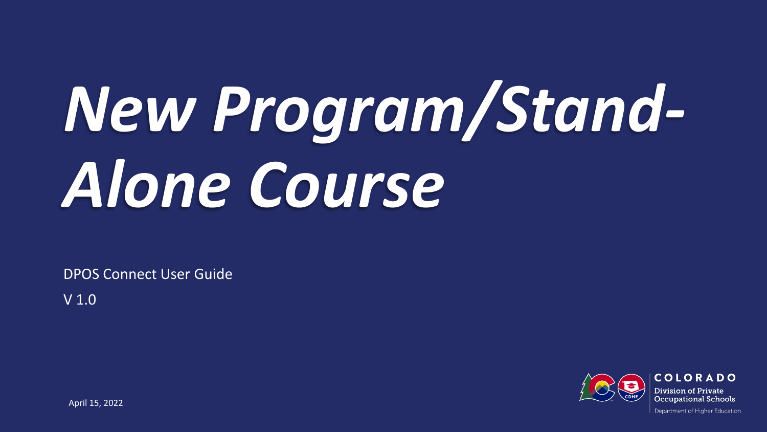# *New Program/Stand-Alone Course*

DPOS Connect User Guide

V 1.0

COLORADO Division of Private **Occupational Schools** 

April 15, 2022

Department of Higher Education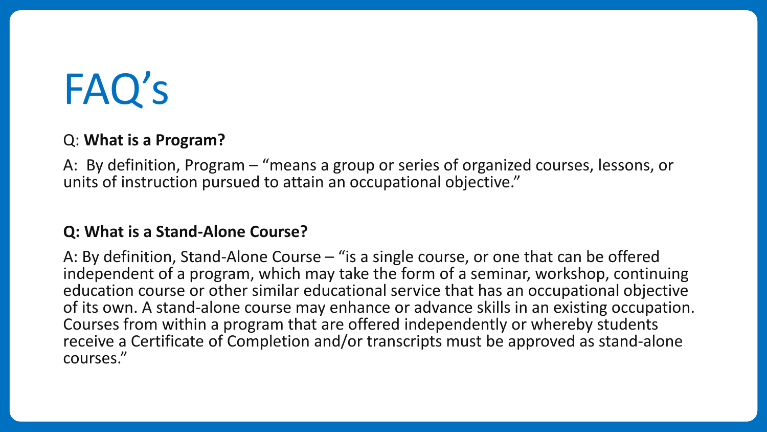## FAQ's

#### Q: **What is a Program?**

A: By definition, Program – "means a group or series of organized courses, lessons, or units of instruction pursued to attain an occupational objective."

#### **Q: What is a Stand-Alone Course?**

A: By definition, Stand-Alone Course – "is a single course, or one that can be offered independent of a program, which may take the form of a seminar, workshop, continuing education course or other similar educational service that has an occupational objective of its own. A stand-alone course may enhance or advance skills in an existing occupation. Courses from within a program that are offered independently or whereby students receive a Certificate of Completion and/or transcripts must be approved as stand-alone courses."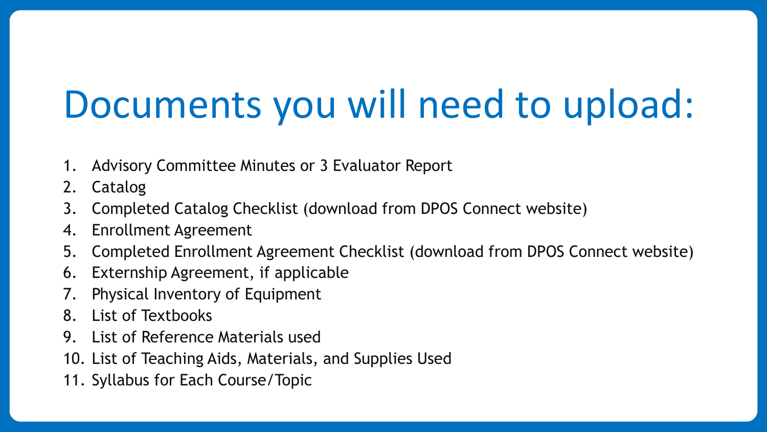## Documents you will need to upload:

- 1. Advisory Committee Minutes or 3 Evaluator Report
- 2. Catalog
- 3. Completed Catalog Checklist (download from DPOS Connect website)
- 4. Enrollment Agreement
- 5. Completed Enrollment Agreement Checklist (download from DPOS Connect website)
- 6. Externship Agreement, if applicable
- 7. Physical Inventory of Equipment
- 8. List of Textbooks
- 9. List of Reference Materials used
- 10. List of Teaching Aids, Materials, and Supplies Used
- 11. Syllabus for Each Course/Topic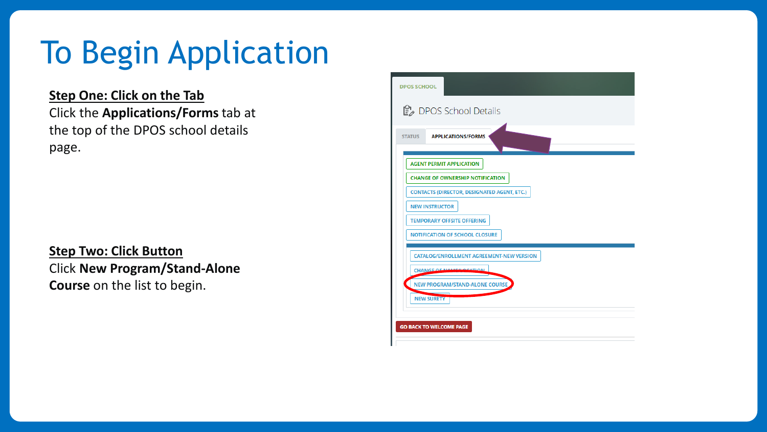## To Begin Application

#### **Step One: Click on the Tab** Click the **Applications/Forms** tab at the top of the DPOS school details page.

**Step Two: Click Button** Click **New Program/Stand-Alone Course** on the list to begin.

| <b>DPOS SCHOOL</b> |                                                    |
|--------------------|----------------------------------------------------|
|                    | ■ DPOS School Details                              |
| <b>STATUS</b>      | <b>APPLICATIONS/FORMS</b>                          |
|                    | <b>AGENT PERMIT APPLICATION</b>                    |
|                    | <b>CHANGE OF OWNERSHIP NOTIFICATION</b>            |
|                    | <b>CONTACTS (DIRECTOR, DESIGNATED AGENT, ETC.)</b> |
|                    | <b>NEW INSTRUCTOR</b>                              |
|                    | <b>TEMPORARY OFFSITE OFFERING</b>                  |
|                    | <b>NOTIFICATION OF SCHOOL CLOSURE</b>              |
|                    | <b>CATALOG/ENROLLMENT AGREEMENT-NEW VERSION</b>    |
|                    | <b>CHANGE OF NAME 4 OCATION</b>                    |
|                    | <b>NEW PROGRAM/STAND-ALONE COURSE</b>              |
|                    | <b>NEW SURETY</b>                                  |
|                    |                                                    |
|                    | <b>GO BACK TO WELCOME PAGE</b>                     |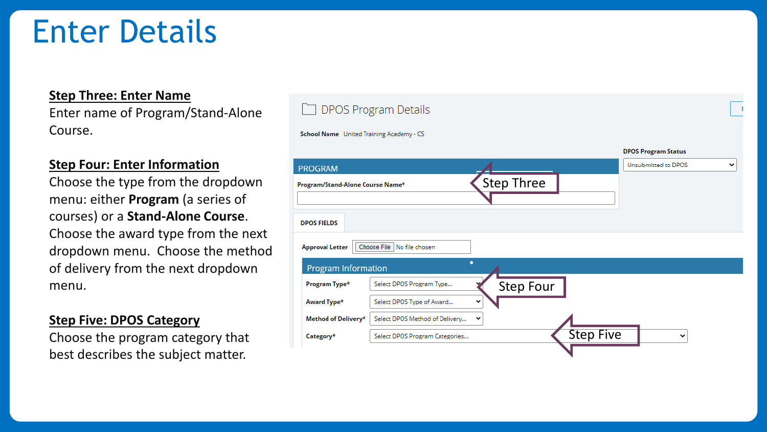## Enter Details

#### **Step Three: Enter Name**

Enter name of Program/Stand-Alone Course.

#### **Step Four: Enter Information**

Choose the type from the dropdown menu: either **Program** (a series of courses) or a **Stand-Alone Course**. Choose the award type from the next dropdown menu. Choose the method of delivery from the next dropdown menu.

#### **Step Five: DPOS Category**

Choose the program category that best describes the subject matter.

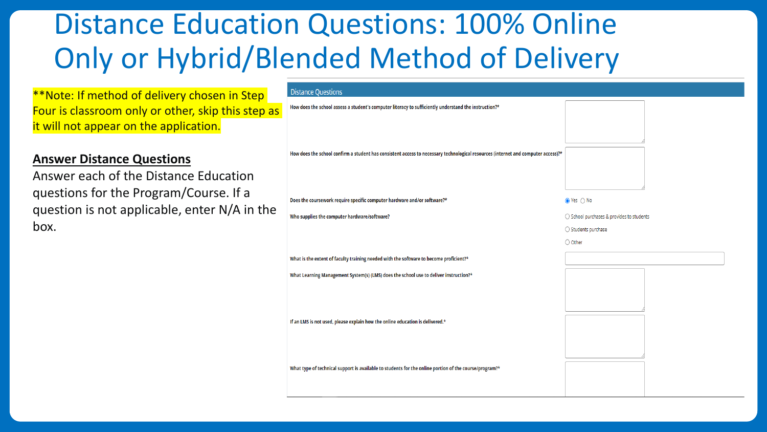## Distance Education Questions: 100% Online Only or Hybrid/Blended Method of Delivery

#### \*\*Note: If method of delivery chosen in Step Four is classroom only or other, skip this step as it will not appear on the application.

#### **Answer Distance Questions**

Answer each of the Distance Education questions for the Program/Course. If a question is not applicable, enter N/A in the box.

#### **Distance Questions**

How does the school assess a student's computer literacy to sufficiently understand the instruction?\*

How does the school confirm a student has consistent access to necessary technological resources (internet and computer access)?\*

Does the coursework require specific computer hardware and/or software?\* Who supplies the computer hardware/software?

What is the extent of faculty training needed with the software to become proficient?\*

What Learning Management System(s) (LMS) does the school use to deliver instruction?\*

If an LMS is not used, please explain how the online education is delivered.\*

What type of technical support is available to students for the online portion of the course/program?<sup>\*</sup>

#### $\bullet$  Yes  $\circ$  No

○ School purchases & provides to students

Step Seven Seven Seven Seven Seven Seven Seven Seven Seven Seven Seven Seven Seven Seven Seven Seven Seven Seven Seven Seven Seven Seven Seven Seven Seven Seven Seven Seven Seven Seven Seven Seven Seven Seven Seven Seven S

○ Students purchase

◯ Other

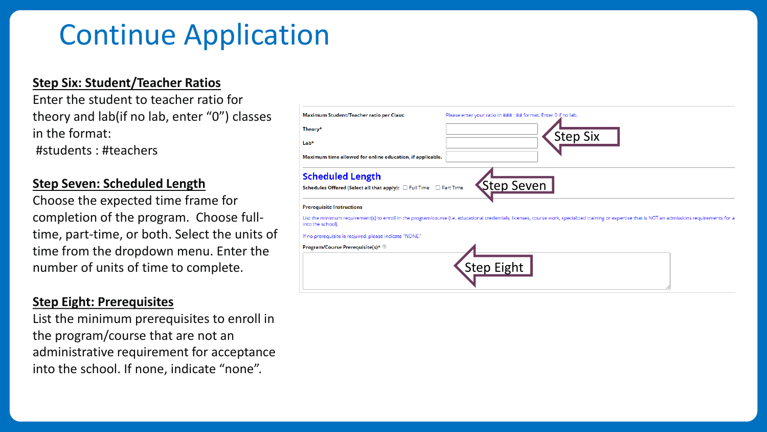### Continue Application

#### **Step Six: Student/Teacher Ratios**

Enter the student to teacher ratio for theory and lab(if no lab, enter "0") classes in the format:

#students : #teachers

#### **Step Seven: Scheduled Length**

Choose the expected time frame for completion of the program. Choose fulltime, part-time, or both. Select the units of time from the dropdown menu. Enter the number of units of time to complete.

#### **Step Eight: Prerequisites**

List the minimum prerequisites to enroll in the program/course that are not an administrative requirement for acceptance into the school. If none, indicate "none".

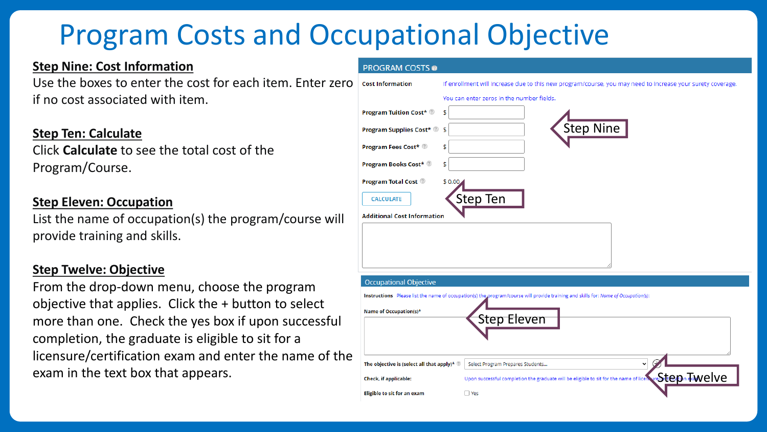## Program Costs and Occupational Objective

**PROGRAM COSTS @** 

#### **Step Nine: Cost Information**

Use the boxes to enter the cost for each item. Enter zero if no cost associated with item.

#### **Step Ten: Calculate**

Click **Calculate** to see the total cost of the Program/Course.

#### **Step Eleven: Occupation**

List the name of occupation(s) the program/course will provide training and skills.

#### **Step Twelve: Objective**

From the drop-down menu, choose the program objective that applies. Click the + button to select more than one. Check the yes box if upon successful completion, the graduate is eligible to sit for a licensure/certification exam and enter the name of the exam in the text box that appears.

| ∩ | <b>Cost Information</b>                                 | If enrollment will increase due to this new program/course, you may need to increase your surety coverage.                         |  |  |  |  |
|---|---------------------------------------------------------|------------------------------------------------------------------------------------------------------------------------------------|--|--|--|--|
|   |                                                         | You can enter zeros in the number fields.                                                                                          |  |  |  |  |
|   | <b>Program Tuition Cost*</b>                            | \$                                                                                                                                 |  |  |  |  |
|   | <b>Program Supplies Cost*</b> 2 \$                      | Step Nine                                                                                                                          |  |  |  |  |
|   | <b>Program Fees Cost*</b>                               | \$                                                                                                                                 |  |  |  |  |
|   | <b>Program Books Cost*</b>                              | \$                                                                                                                                 |  |  |  |  |
|   | <b>Program Total Cost</b>                               | \$0.00                                                                                                                             |  |  |  |  |
|   | <b>CALCULATE</b>                                        | <b>Step Ten</b>                                                                                                                    |  |  |  |  |
|   | <b>Additional Cost Information</b>                      |                                                                                                                                    |  |  |  |  |
|   |                                                         |                                                                                                                                    |  |  |  |  |
|   |                                                         |                                                                                                                                    |  |  |  |  |
|   |                                                         |                                                                                                                                    |  |  |  |  |
|   | <b>Occupational Objective</b>                           |                                                                                                                                    |  |  |  |  |
|   |                                                         | Instructions Please list the name of occupation(s) the program/course will provide training and skills for: Name of Occupation(s): |  |  |  |  |
|   | Name of Occupation(s)*                                  |                                                                                                                                    |  |  |  |  |
|   |                                                         | <b>Step Eleven</b>                                                                                                                 |  |  |  |  |
|   |                                                         |                                                                                                                                    |  |  |  |  |
| e |                                                         | $\mathcal{F}$<br>v                                                                                                                 |  |  |  |  |
|   | The objective is (select all that apply)* $\circledast$ | Select Program Prepares Students                                                                                                   |  |  |  |  |
|   | Check, if applicable:                                   | Upon successful completion the graduate will be eligible to sit for the name of licent west to the product of $\mathbf{R}$         |  |  |  |  |
|   | Eligible to sit for an exam                             | $\Box$ Yes                                                                                                                         |  |  |  |  |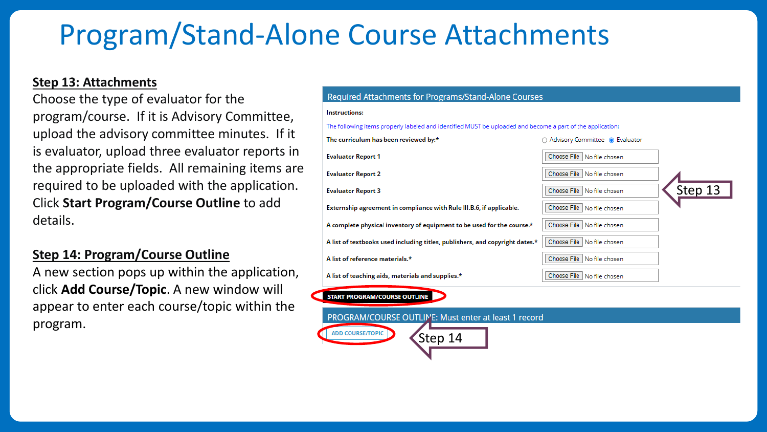### Program/Stand-Alone Course Attachments

#### **Step 13: Attachments**

Choose the type of evaluator for the program/course. If it is Advisory Committee, upload the advisory committee minutes. If it is evaluator, upload three evaluator reports in the appropriate fields. All remaining items are required to be uploaded with the application. Click **Start Program/Course Outline** to add details.

#### **Step 14: Program/Course Outline**

A new section pops up within the application, click **Add Course/Topic**. A new window will appear to enter each course/topic within the program.

#### Required Attachments for Programs/Stand-Alone Courses

| <b>Instructions:</b>                                                                                       |                                      |         |  |
|------------------------------------------------------------------------------------------------------------|--------------------------------------|---------|--|
| The following items properly labeled and identified MUST be uploaded and become a part of the application: |                                      |         |  |
| The curriculum has been reviewed by:*                                                                      | ○ Advisory Committee ● Evaluator     |         |  |
| <b>Evaluator Report 1</b>                                                                                  | Choose File<br>No file chosen        |         |  |
| <b>Evaluator Report 2</b>                                                                                  | Choose File No file chosen           |         |  |
| <b>Evaluator Report 3</b>                                                                                  | <b>Choose File</b><br>No file chosen | Step 13 |  |
| Externship agreement in compliance with Rule III.B.6, if applicable.                                       | Choose File<br>l No file chosen      |         |  |
| A complete physical inventory of equipment to be used for the course.*                                     | Choose File<br>No file chosen        |         |  |
| A list of textbooks used including titles, publishers, and copyright dates.*                               | Choose File No file chosen           |         |  |
| A list of reference materials.*                                                                            | Choose File<br>No file chosen        |         |  |
| A list of teaching aids, materials and supplies.*                                                          | Choose File<br>No file chosen        |         |  |
| <b>START PROGRAM/COURSE OUTLINE</b>                                                                        |                                      |         |  |
| PROGRAM/COURSE OUTLINE: Must enter at least 1 record                                                       |                                      |         |  |
| <b>ADD COURSE/TOPIC</b><br>Step 14                                                                         |                                      |         |  |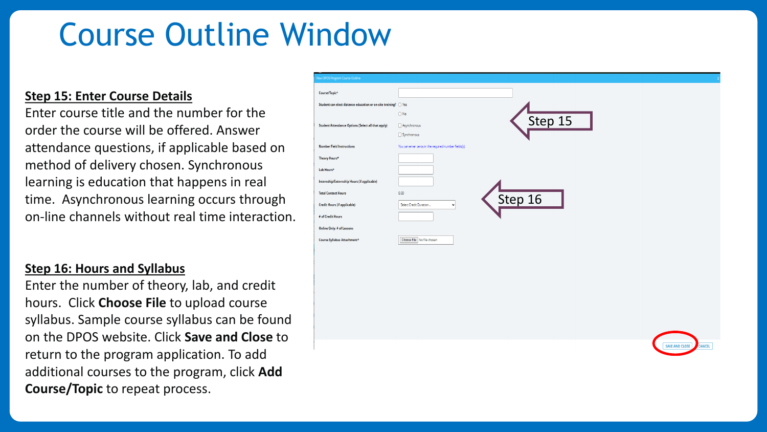## Course Outline Window

#### **Step 15: Enter Course Details**

Enter course title and the number for the order the course will be offered. Answer attendance questions, if applicable based on method of delivery chosen. Synchronous learning is education that happens in real time. Asynchronous learning occurs through on-line channels without real time interaction.

#### **Step 16: Hours and Syllabus**

Enter the number of theory, lab, and credit hours. Click **Choose File** to upload course syllabus. Sample course syllabus can be found on the DPOS website. Click **Save and Close** to return to the program application. To add additional courses to the program, click **Add Course/Topic** to repeat process.

| New DPOS Program Course Outline                                          |                                                       |
|--------------------------------------------------------------------------|-------------------------------------------------------|
| Course/Topic*                                                            |                                                       |
| Student can elect distance education or on-site training? $\bigcirc$ Yes |                                                       |
|                                                                          | $\bigcirc$ No<br>Step 15                              |
| <b>Student Attendance Options (Select all that apply)</b>                | Asynchronous                                          |
|                                                                          | Synchronous                                           |
| <b>Number Field Instructions</b>                                         | You can enter zeros in the required number fields(s). |
| Theory Hours*                                                            |                                                       |
| Lab Hours*                                                               |                                                       |
| Internship/Externship Hours (if applicable)                              |                                                       |
| <b>Total Contact Hours</b>                                               | 0.00                                                  |
| <b>Credit Hours (if applicable)</b>                                      | Step 16<br>Select Credit Duration<br>$\checkmark$     |
| # of Credit Hours                                                        |                                                       |
| Online Only: # of Lessons                                                |                                                       |
| Course Syllabus Attachment*                                              | Choose File No file chosen                            |

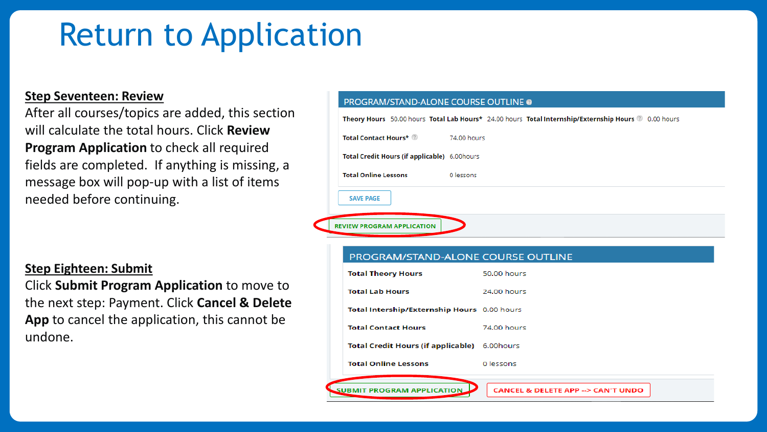## Return to Application

#### **Step Seventeen: Review**

After all courses/topics are added, this section will calculate the total hours. Click **Review Program Application** to check all required fields are completed. If anything is missing, a message box will pop-up with a list of items needed before continuing.

#### **Step Eighteen: Submit**

Click **Submit Program Application** to move to the next step: Payment. Click **Cancel & Delete App** to cancel the application, this cannot be undone.

#### **PROGRAM/STAND-ALONE COURSE OUTLINE @**

| Theory Hours 50.00 hours Total Lab Hours* 24.00 hours Total Internship/Externship Hours @ 0.00 hours |                                               |             |  |  |
|------------------------------------------------------------------------------------------------------|-----------------------------------------------|-------------|--|--|
|                                                                                                      | Total Contact Hours*                          | 74.00 hours |  |  |
|                                                                                                      | Total Credit Hours (if applicable) 6.00 hours |             |  |  |
|                                                                                                      | <b>Total Online Lessons</b>                   | 0 lessons   |  |  |
|                                                                                                      | <b>SAVE PAGE</b>                              |             |  |  |
|                                                                                                      | <b>REVIEW PROGRAM APPLICATION</b>             |             |  |  |

#### PROGRAM/STAND-ALONE COURSE OUTLINE

| <b>Total Theory Hours</b>                   | 50.00 hours                                      |
|---------------------------------------------|--------------------------------------------------|
| <b>Total Lab Hours</b>                      | 24.00 hours                                      |
| Total Intership/Externship Hours 0.00 hours |                                                  |
| <b>Total Contact Hours</b>                  | 74.00 hours                                      |
| Total Credit Hours (if applicable)          | 6.00 hours                                       |
| <b>Total Online Lessons</b>                 | 0 lessons                                        |
|                                             |                                                  |
| <b>WBMIT</b><br><b>PLICATION</b>            | <b>CANCEL &amp; DELETE APP --&gt; CAN'T UNDO</b> |